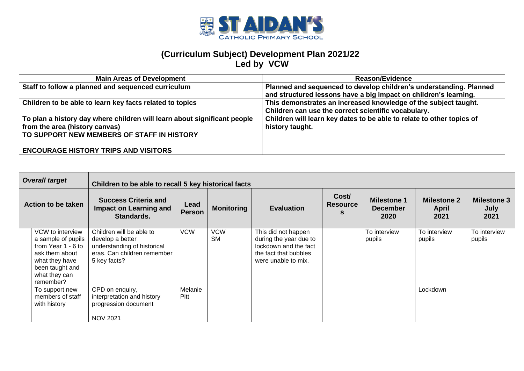

| <b>Main Areas of Development</b>                                         | <b>Reason/Evidence</b>                                                |
|--------------------------------------------------------------------------|-----------------------------------------------------------------------|
| Staff to follow a planned and sequenced curriculum                       | Planned and sequenced to develop children's understanding. Planned    |
|                                                                          | and structured lessons have a big impact on children's learning.      |
| Children to be able to learn key facts related to topics                 | This demonstrates an increased knowledge of the subject taught.       |
|                                                                          | Children can use the correct scientific vocabulary.                   |
| To plan a history day where children will learn about significant people | Children will learn key dates to be able to relate to other topics of |
| from the area (history canvas)                                           | history taught.                                                       |
| TO SUPPORT NEW MEMBERS OF STAFF IN HISTORY                               |                                                                       |
|                                                                          |                                                                       |
| <b>ENCOURAGE HISTORY TRIPS AND VISITORS</b>                              |                                                                       |

|                           | <b>Overall target</b>                                                                                                                             | Children to be able to recall 5 key historical facts                                                                       |                       |                         |                                                                                                                        |                               |                                               |                                     |                                    |
|---------------------------|---------------------------------------------------------------------------------------------------------------------------------------------------|----------------------------------------------------------------------------------------------------------------------------|-----------------------|-------------------------|------------------------------------------------------------------------------------------------------------------------|-------------------------------|-----------------------------------------------|-------------------------------------|------------------------------------|
| <b>Action to be taken</b> |                                                                                                                                                   | <b>Success Criteria and</b><br>Impact on Learning and<br>Standards.                                                        | Lead<br><b>Person</b> | <b>Monitoring</b>       | <b>Evaluation</b>                                                                                                      | Cost/<br><b>Resource</b><br>s | <b>Milestone 1</b><br><b>December</b><br>2020 | <b>Milestone 2</b><br>April<br>2021 | <b>Milestone 3</b><br>July<br>2021 |
|                           | VCW to interview<br>a sample of pupils<br>from Year 1 - 6 to<br>ask them about<br>what they have<br>been taught and<br>what they can<br>remember? | Children will be able to<br>develop a better<br>understanding of historical<br>eras. Can children remember<br>5 key facts? | <b>VCW</b>            | <b>VCW</b><br><b>SM</b> | This did not happen<br>during the year due to<br>lockdown and the fact<br>the fact that bubbles<br>were unable to mix. |                               | To interview<br>pupils                        | To interview<br>pupils              | To interview<br>pupils             |
|                           | To support new<br>members of staff<br>with history                                                                                                | CPD on enquiry,<br>interpretation and history<br>progression document<br><b>NOV 2021</b>                                   | Melanie<br>Pitt       |                         |                                                                                                                        |                               |                                               | Lockdown                            |                                    |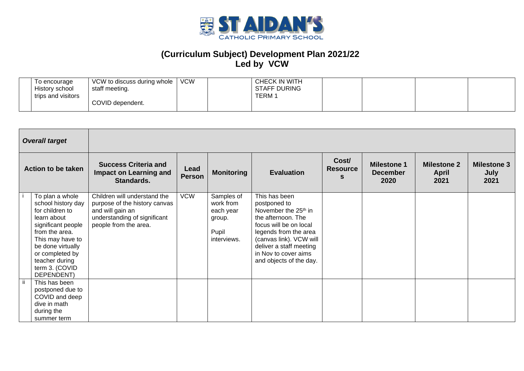

| To encourage<br>History school<br>trips and visitors | VCW to discuss during whole   '<br>staff meeting. | <b>VCW</b> | CHECK IN WITH<br><b>STAFF DURING</b><br><b>TERM1</b> |  |  |
|------------------------------------------------------|---------------------------------------------------|------------|------------------------------------------------------|--|--|
|                                                      | COVID dependent.                                  |            |                                                      |  |  |

|                    | <b>Overall target</b>                                                                                                                                                                                                         |                                                                                                                                            |                       |                                                                        |                                                                                                                                                                                                                                                     |                          |                                               |                                            |                                    |
|--------------------|-------------------------------------------------------------------------------------------------------------------------------------------------------------------------------------------------------------------------------|--------------------------------------------------------------------------------------------------------------------------------------------|-----------------------|------------------------------------------------------------------------|-----------------------------------------------------------------------------------------------------------------------------------------------------------------------------------------------------------------------------------------------------|--------------------------|-----------------------------------------------|--------------------------------------------|------------------------------------|
| Action to be taken |                                                                                                                                                                                                                               | <b>Success Criteria and</b><br><b>Impact on Learning and</b><br>Standards.                                                                 | Lead<br><b>Person</b> | <b>Monitoring</b>                                                      | <b>Evaluation</b>                                                                                                                                                                                                                                   | Cost/<br><b>Resource</b> | <b>Milestone 1</b><br><b>December</b><br>2020 | <b>Milestone 2</b><br><b>April</b><br>2021 | <b>Milestone 3</b><br>July<br>2021 |
|                    | To plan a whole<br>school history day<br>for children to<br>learn about<br>significant people<br>from the area.<br>This may have to<br>be done virtually<br>or completed by<br>teacher during<br>term 3. (COVID<br>DEPENDENT) | Children will understand the<br>purpose of the history canvas<br>and will gain an<br>understanding of significant<br>people from the area. | <b>VCW</b>            | Samples of<br>work from<br>each year<br>group.<br>Pupil<br>interviews. | This has been<br>postponed to<br>November the 25 <sup>th</sup> in<br>the afternoon. The<br>focus will be on local<br>legends from the area<br>(canvas link). VCW will<br>deliver a staff meeting<br>in Nov to cover aims<br>and objects of the day. |                          |                                               |                                            |                                    |
|                    | This has been<br>postponed due to<br>COVID and deep<br>dive in math<br>during the<br>summer term                                                                                                                              |                                                                                                                                            |                       |                                                                        |                                                                                                                                                                                                                                                     |                          |                                               |                                            |                                    |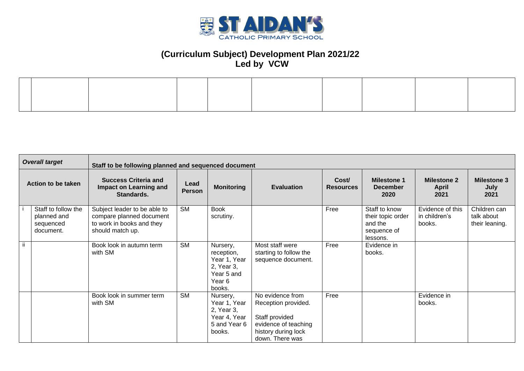

|                    | <b>Overall target</b>                                        |                                                                                                           | Staff to be following planned and sequenced document |                                                                                        |                                                                                                                             |                           |                                                                          |                                             |                                              |  |  |  |
|--------------------|--------------------------------------------------------------|-----------------------------------------------------------------------------------------------------------|------------------------------------------------------|----------------------------------------------------------------------------------------|-----------------------------------------------------------------------------------------------------------------------------|---------------------------|--------------------------------------------------------------------------|---------------------------------------------|----------------------------------------------|--|--|--|
| Action to be taken |                                                              | <b>Success Criteria and</b><br><b>Impact on Learning and</b><br>Standards.                                | Lead<br><b>Person</b>                                | <b>Monitoring</b>                                                                      | <b>Evaluation</b>                                                                                                           | Cost/<br><b>Resources</b> | <b>Milestone 1</b><br><b>December</b><br>2020                            | <b>Milestone 2</b><br><b>April</b><br>2021  | <b>Milestone 3</b><br>July<br>2021           |  |  |  |
|                    | Staff to follow the<br>planned and<br>sequenced<br>document. | Subject leader to be able to<br>compare planned document<br>to work in books and they<br>should match up. | <b>SM</b>                                            | <b>Book</b><br>scrutiny.                                                               |                                                                                                                             | Free                      | Staff to know<br>their topic order<br>and the<br>sequence of<br>lessons. | Evidence of this<br>in children's<br>books. | Children can<br>talk about<br>their leaning. |  |  |  |
| ji.                |                                                              | Book look in autumn term<br>with SM                                                                       | <b>SM</b>                                            | Nursery,<br>reception,<br>Year 1, Year<br>2, Year 3,<br>Year 5 and<br>Year 6<br>books. | Most staff were<br>starting to follow the<br>sequence document.                                                             | Free                      | Evidence in<br>books.                                                    |                                             |                                              |  |  |  |
|                    |                                                              | Book look in summer term<br>with SM                                                                       | <b>SM</b>                                            | Nursery,<br>Year 1, Year<br>2, Year 3,<br>Year 4, Year<br>5 and Year 6<br>books.       | No evidence from<br>Reception provided.<br>Staff provided<br>evidence of teaching<br>history during lock<br>down. There was | Free                      |                                                                          | Evidence in<br>books.                       |                                              |  |  |  |